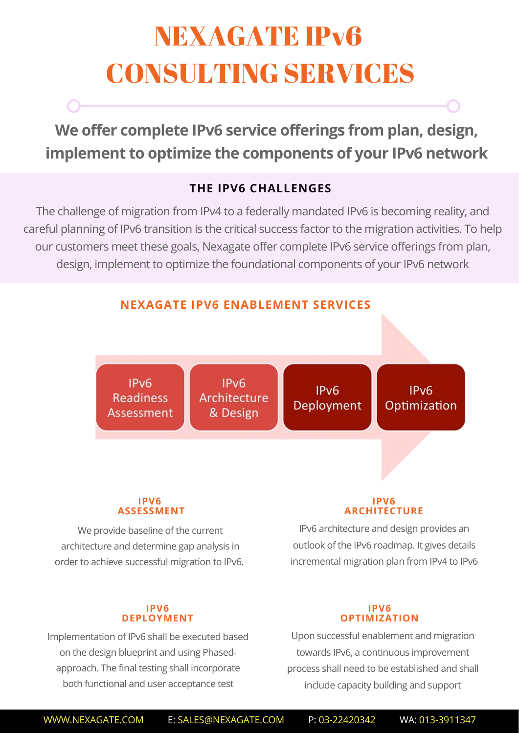# NEXAGATE IPv6 CONSULTING SERVICES

**We offer complete IPv6 service offerings from plan, design, implement to optimize the components of your IPv6 network**

### **THE IPV6 CHALLENGES**

The challenge of migration from IPv4 to a federally mandated IPv6 is becoming reality, and careful planning of IPv6 transition is the critical success factor to the migration activities. To help our customers meet these goals, Nexagate offer complete IPv6 service offerings from plan, design, implement to optimize the foundational components of your IPv6 network



We provide baseline of the current architecture and determine gap analysis in order to achieve successful migration to IPv6.

#### **IPV6 DEPLOYMENT**

Implementation of IPv6 shall be executed based on the design blueprint and using Phasedapproach. The final testing shall incorporate both functional and user acceptance test

#### **IPV6 OPTIMIZATION**

outlook of the IPv6 roadmap. It gives details incremental migration plan from IPv4 to IPv6

Upon successful enablement and migration towards IPv6, a continuous improvement process shall need to be established and shall include capacity building and support